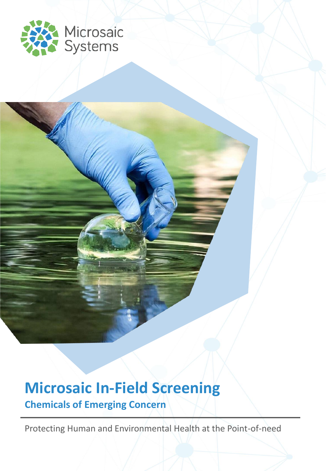

### **Microsaic In-Field Screening Chemicals of Emerging Concern**

Protecting Human and Environmental Health at the Point-of-need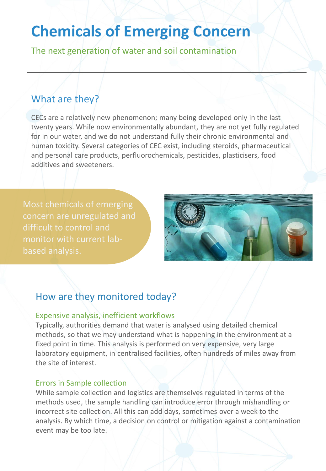# **Chemicals of Emerging Concern**

The next generation of water and soil contamination

### What are they?

CECs are a relatively new phenomenon; many being developed only in the last twenty years. While now environmentally abundant, they are not yet fully regulated for in our water, and we do not understand fully their chronic environmental and human toxicity. Several categories of CEC exist, including steroids, pharmaceutical and personal care products, perfluorochemicals, pesticides, plasticisers, food additives and sweeteners.

Most chemicals of emerging concern are unregulated and difficult to control and monitor with current lab-



### How are they monitored today?

#### Expensive analysis, inefficient workflows

Typically, authorities demand that water is analysed using detailed chemical methods, so that we may understand what is happening in the environment at a fixed point in time. This analysis is performed on very expensive, very large laboratory equipment, in centralised facilities, often hundreds of miles away from the site of interest.

#### Errors in Sample collection

While sample collection and logistics are themselves regulated in terms of the methods used, the sample handling can introduce error through mishandling or incorrect site collection. All this can add days, sometimes over a week to the analysis. By which time, a decision on control or mitigation against a contamination event may be too late.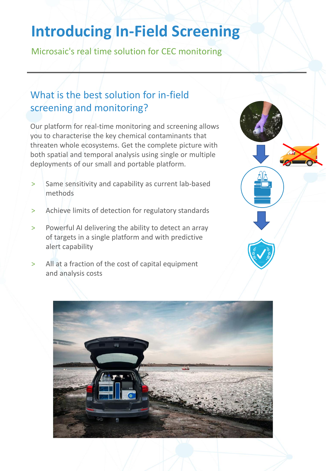# **Introducing In-Field Screening**

Microsaic's real time solution for CEC monitoring

### What is the best solution for in-field screening and monitoring?

Our platform for real-time monitoring and screening allows you to characterise the key chemical contaminants that threaten whole ecosystems. Get the complete picture with both spatial and temporal analysis using single or multiple deployments of our small and portable platform.

- > Same sensitivity and capability as current lab-based methods
- > Achieve limits of detection for regulatory standards
- > Powerful AI delivering the ability to detect an array of targets in a single platform and with predictive alert capability
- > All at a fraction of the cost of capital equipment and analysis costs



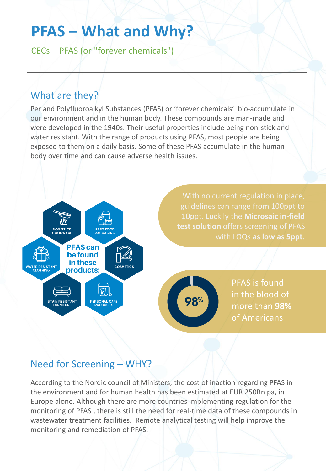# **PFAS – What and Why?**

CECs – PFAS (or "forever chemicals")

### What are they?

Per and Polyfluoroalkyl Substances (PFAS) or 'forever chemicals' bio-accumulate in our environment and in the human body. These compounds are man-made and were developed in the 1940s. Their useful properties include being non-stick and water resistant. With the range of products using PFAS, most people are being exposed to them on a daily basis. Some of these PFAS accumulate in the human body over time and can cause adverse health issues.



### Need for Screening – WHY?

According to the Nordic council of Ministers, the cost of inaction regarding PFAS in the environment and for human health has been estimated at EUR 250Bn pa, in Europe alone. Although there are more countries implementing regulation for the monitoring of PFAS , there is still the need for real-time data of these compounds in wastewater treatment facilities. Remote analytical testing will help improve the monitoring and remediation of PFAS.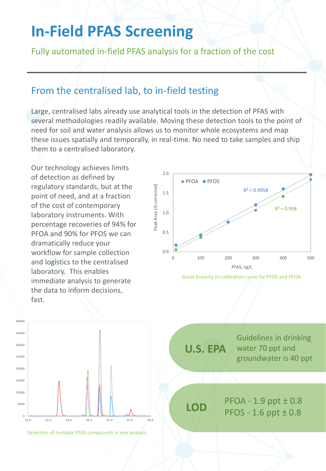# **In-Field PFAS Screening**

Fully automated in-field PFAS analysis for a fraction of the cost

#### From the centralised lab, to in-field testing

Large, centralised labs already use analytical tools in the detection of PFAS with several methodologies readily available. Moving these detection tools to the point of need for soil and water analysis allows us to monitor whole ecosystems and map these issues spatially and temporally, in real-time. No need to take samples and ship them to a centralised laboratory.

Our technology achieves limits of detection as defined by regulatory standards, but at the point of need, and at a fraction of the cost of contemporary laboratory instruments. With percentage recoveries of 94% for PFOA and 90% for PFOS we can dramatically reduce your workflow for sample collection and logistics to the centralised laboratory. This enables immediate analysis to generate the data to inform decisions, fast.



Great linearity in calibration curve for PFOS and PFOA



Detection of multiple PFAS compounds in one analysis

**U.S. EPA** 

Guidelines in drinking water 70 ppt and groundwater is 40 ppt

363 PFHpA 100 ppt 399 PFHxS 100 ppt 413.2 PFOA 100 ppt

499.2 PFOS 100 ppt 503.2 MPFOS 200 ppt

> $PFOA - 1.9$  ppt  $\pm 0.8$ **LOD** PFOS - 1.6 ppt ± 0.8